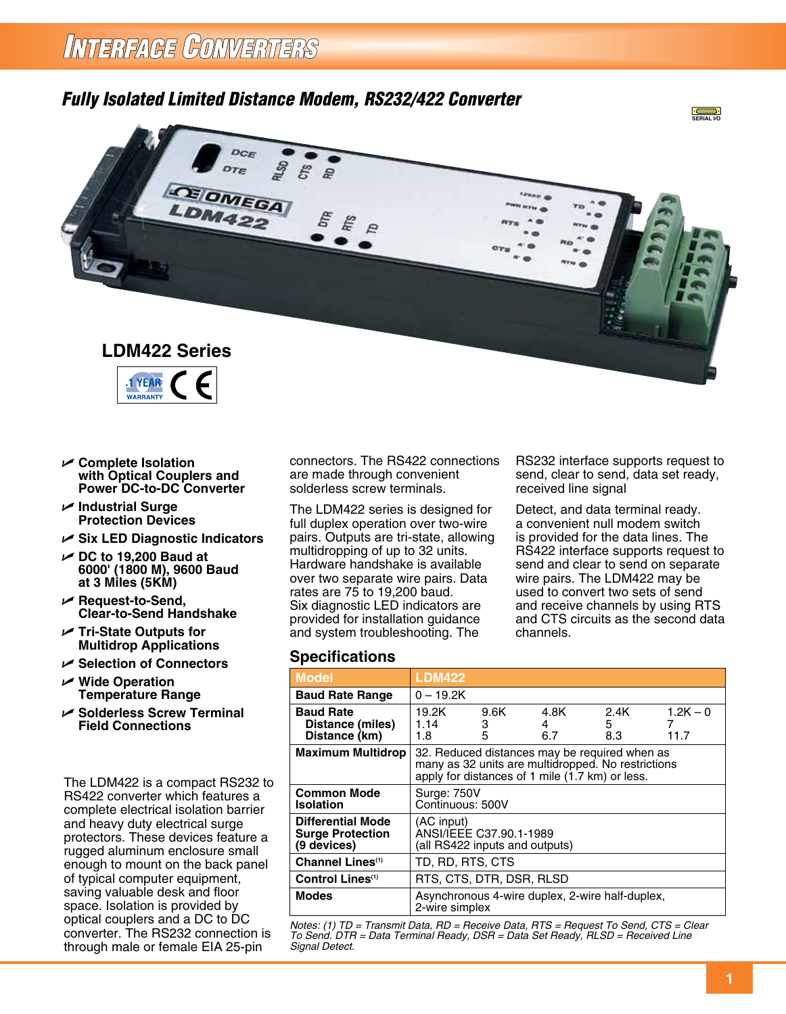## *Fully Isolated Limited Distance Modem, RS232/422 Converter*





- U **Complete Isolation with Optical Couplers and Power DC-to-DC Converter**
- U **Industrial Surge Protection Devices**
- U **Six LED Diagnostic Indicators**
- U **DC to 19,200 Baud at 6000' (1800 M), 9600 Baud at 3 Miles (5KM)**
- U **Request-to-Send, Clear-to-Send Handshake**
- U **Tri-State Outputs for Multidrop Applications**
- U **Selection of Connectors**
- U **Wide Operation Temperature Range**
- U **Solderless Screw Terminal Field Connections**

The LDM422 is a compact RS232 to RS422 converter which features a complete electrical isolation barrier and heavy duty electrical surge protectors. These devices feature a rugged aluminum enclosure small enough to mount on the back panel of typical computer equipment, saving valuable desk and floor space. Isolation is provided by optical couplers and a DC to DC converter. The RS232 connection is through male or female EIA 25-pin

connectors. The RS422 connections are made through convenient solderless screw terminals.

The LDM422 series is designed for full duplex operation over two-wire pairs. Outputs are tri-state, allowing multidropping of up to 32 units. Hardware handshake is available over two separate wire pairs. Data rates are 75 to 19,200 baud. Six diagnostic LED indicators are provided for installation guidance and system troubleshooting. The

## **Specifications**

| <b>Model</b>                                                       | <b>LDM422</b>                                                                                                                                          |                |                  |                   |                    |
|--------------------------------------------------------------------|--------------------------------------------------------------------------------------------------------------------------------------------------------|----------------|------------------|-------------------|--------------------|
| <b>Baud Rate Range</b>                                             | $0 - 19.2K$                                                                                                                                            |                |                  |                   |                    |
| <b>Baud Rate</b><br>Distance (miles)<br>Distance (km)              | 19.2K<br>1.14<br>1.8                                                                                                                                   | 9.6K<br>З<br>5 | 4.8K<br>4<br>6.7 | 2.4K<br>5.<br>8.3 | $1.2K - 0$<br>11.7 |
| <b>Maximum Multidrop</b>                                           | 32. Reduced distances may be required when as<br>many as 32 units are multidropped. No restrictions<br>apply for distances of 1 mile (1.7 km) or less. |                |                  |                   |                    |
| <b>Common Mode</b><br><b>Isolation</b>                             | <b>Surge: 750V</b><br>Continuous: 500V                                                                                                                 |                |                  |                   |                    |
| <b>Differential Mode</b><br><b>Surge Protection</b><br>(9 devices) | (AC input)<br>ANSI/IEEE C37.90.1-1989<br>(all RS422 inputs and outputs)                                                                                |                |                  |                   |                    |
| Channel Lines <sup>(1)</sup>                                       | TD, RD, RTS, CTS                                                                                                                                       |                |                  |                   |                    |
| Control Lines <sup>(1)</sup>                                       | RTS, CTS, DTR, DSR, RLSD                                                                                                                               |                |                  |                   |                    |
| <b>Modes</b>                                                       | Asynchronous 4-wire duplex, 2-wire half-duplex,<br>2-wire simplex                                                                                      |                |                  |                   |                    |

*Notes: (1) TD = Transmit Data, RD = Receive Data, RTS = Request To Send, CTS = Clear To Send. DTR = Data Terminal Ready, DSR = Data Set Ready, RLSD = Received Line Signal Detect.* 

RS232 interface supports request to send, clear to send, data set ready, received line signal

Detect, and data terminal ready. a convenient null modem switch is provided for the data lines. The RS422 interface supports request to send and clear to send on separate wire pairs. The LDM422 may be used to convert two sets of send and receive channels by using RTS and CTS circuits as the second data channels.